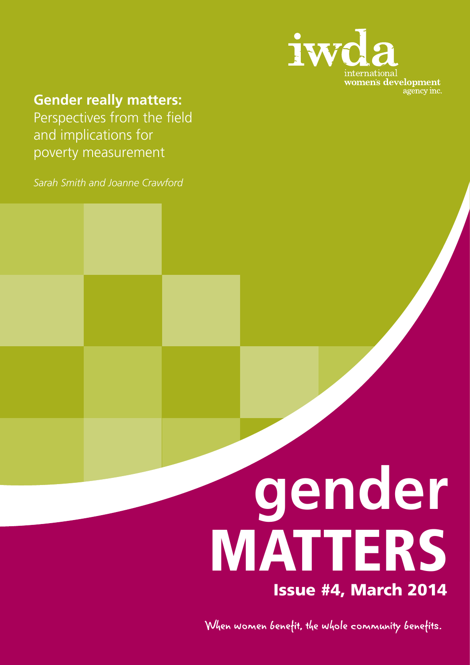

## **Gender really matters:**

Perspectives from the field and implications for poverty measurement

*Sarah Smith and Joanne Crawford*

# **gender** MATTERS Issue #4, March 2014

When women benefit, the whole community benefits.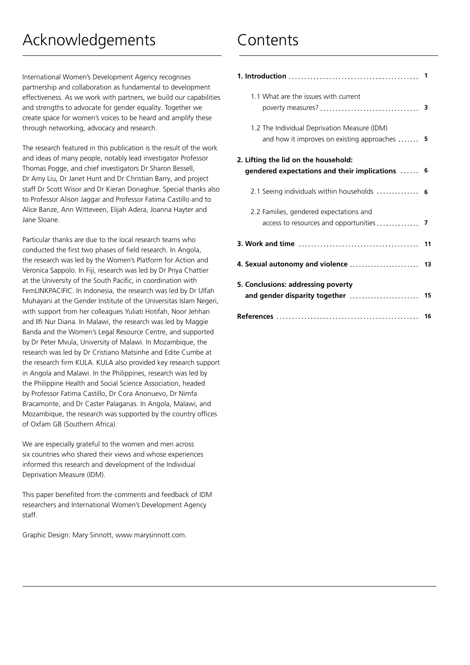International Women's Development Agency recognises partnership and collaboration as fundamental to development effectiveness. As we work with partners, we build our capabilities and strengths to advocate for gender equality. Together we create space for women's voices to be heard and amplify these through networking, advocacy and research.

The research featured in this publication is the result of the work and ideas of many people, notably lead investigator Professor Thomas Pogge, and chief investigators Dr Sharon Bessell, Dr Amy Liu, Dr Janet Hunt and Dr Christian Barry, and project staff Dr Scott Wisor and Dr Kieran Donaghue. Special thanks also to Professor Alison Jaggar and Professor Fatima Castillo and to Alice Banze, Ann Witteveen, Elijah Adera, Joanna Hayter and Jane Sloane.

Particular thanks are due to the local research teams who conducted the first two phases of field research. In Angola, the research was led by the Women's Platform for Action and Veronica Sappolo. In Fiji, research was led by Dr Priya Chattier at the University of the South Pacific, in coordination with FemLINKPACIFIC. In Indonesia, the research was led by Dr Ulfah Muhayani at the Gender Institute of the Universitas Islam Negeri, with support from her colleagues Yuliati Hotifah, Noor Jehhan and Ilfi Nur Diana. In Malawi, the research was led by Maggie Banda and the Women's Legal Resource Centre, and supported by Dr Peter Mvula, University of Malawi. In Mozambique, the research was led by Dr Cristiano Matsinhe and Edite Cumbe at the research firm KULA. KULA also provided key research support in Angola and Malawi. In the Philippines, research was led by the Philippine Health and Social Science Association, headed by Professor Fatima Castillo, Dr Cora Anonuevo, Dr Nimfa Bracamonte, and Dr Caster Palaganas. In Angola, Malawi, and Mozambique, the research was supported by the country offices of Oxfam GB (Southern Africa).

We are especially grateful to the women and men across six countries who shared their views and whose experiences informed this research and development of the Individual Deprivation Measure (IDM).

This paper benefited from the comments and feedback of IDM researchers and International Women's Development Agency staff.

Graphic Design: Mary Sinnott, www.marysinnott.com.

## Contents

| 1.1 What are the issues with current                                                                         |     |
|--------------------------------------------------------------------------------------------------------------|-----|
| 1.2 The Individual Deprivation Measure (IDM)<br>and how it improves on existing approaches $\ldots \ldots$ 5 |     |
| 2. Lifting the lid on the household:<br>gendered expectations and their implications $\ldots$ . 6            |     |
| 2.1 Seeing individuals within households                                                                     | - 6 |
| 2.2 Families, gendered expectations and<br>access to resources and opportunities  7                          |     |
|                                                                                                              |     |
|                                                                                                              |     |
| 5. Conclusions: addressing poverty                                                                           |     |
|                                                                                                              | 16  |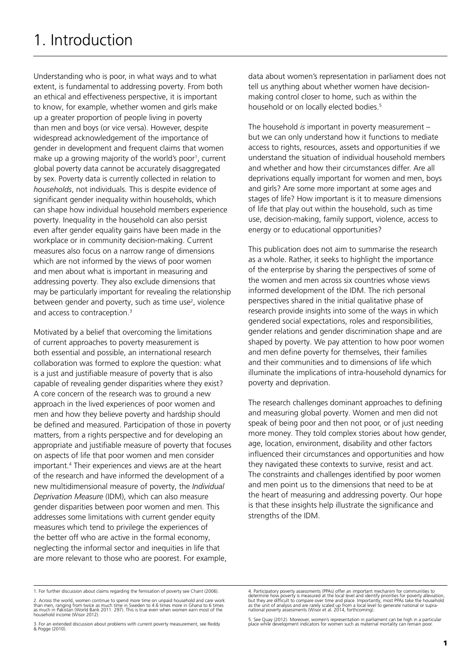Understanding who is poor, in what ways and to what extent, is fundamental to addressing poverty. From both an ethical and effectiveness perspective, it is important to know, for example, whether women and girls make up a greater proportion of people living in poverty than men and boys (or vice versa). However, despite widespread acknowledgement of the importance of gender in development and frequent claims that women make up a growing majority of the world's poor<sup>1</sup>, current global poverty data cannot be accurately disaggregated by sex. Poverty data is currently collected in relation to *households*, not individuals. This is despite evidence of significant gender inequality within households, which can shape how individual household members experience poverty. Inequality in the household can also persist even after gender equality gains have been made in the workplace or in community decision-making. Current measures also focus on a narrow range of dimensions which are not informed by the views of poor women and men about what is important in measuring and addressing poverty. They also exclude dimensions that may be particularly important for revealing the relationship between gender and poverty, such as time use<sup>2</sup>, violence and access to contraception.<sup>3</sup>

Motivated by a belief that overcoming the limitations of current approaches to poverty measurement is both essential and possible, an international research collaboration was formed to explore the question: what is a just and justifiable measure of poverty that is also capable of revealing gender disparities where they exist? A core concern of the research was to ground a new approach in the lived experiences of poor women and men and how they believe poverty and hardship should be defined and measured. Participation of those in poverty matters, from a rights perspective and for developing an appropriate and justifiable measure of poverty that focuses on aspects of life that poor women and men consider important.4 Their experiences and views are at the heart of the research and have informed the development of a new multidimensional measure of poverty, the *Individual Deprivation Measure* (IDM), which can also measure gender disparities between poor women and men. This addresses some limitations with current gender equity measures which tend to privilege the experiences of the better off who are active in the formal economy, neglecting the informal sector and inequities in life that are more relevant to those who are poorest. For example,

data about women's representation in parliament does not tell us anything about whether women have decisionmaking control closer to home, such as within the household or on locally elected bodies.<sup>5</sup>

The household *is* important in poverty measurement – but we can only understand how it functions to mediate access to rights, resources, assets and opportunities if we understand the situation of individual household members and whether and how their circumstances differ. Are all deprivations equally important for women and men, boys and girls? Are some more important at some ages and stages of life? How important is it to measure dimensions of life that play out within the household, such as time use, decision-making, family support, violence, access to energy or to educational opportunities?

This publication does not aim to summarise the research as a whole. Rather, it seeks to highlight the importance of the enterprise by sharing the perspectives of some of the women and men across six countries whose views informed development of the IDM. The rich personal perspectives shared in the initial qualitative phase of research provide insights into some of the ways in which gendered social expectations, roles and responsibilities, gender relations and gender discrimination shape and are shaped by poverty. We pay attention to how poor women and men define poverty for themselves, their families and their communities and to dimensions of life which illuminate the implications of intra-household dynamics for poverty and deprivation.

The research challenges dominant approaches to defining and measuring global poverty. Women and men did not speak of being poor and then not poor, or of just needing more money. They told complex stories about how gender, age, location, environment, disability and other factors influenced their circumstances and opportunities and how they navigated these contexts to survive, resist and act. The constraints and challenges identified by poor women and men point us to the dimensions that need to be at the heart of measuring and addressing poverty. Our hope is that these insights help illustrate the significance and strengths of the IDM.

5. See Quay (2012). Moreover, women's representation in parliament can be high in a particular place which development indicators for women such as maternal mortality can remain poor.

<sup>1.</sup> For further discussion about claims regarding the femisation of poverty see Chant (2006).

<sup>2.</sup> Across the world, women continue to spend more time on unpaid household and care work<br>than men, ranging from twice as much time in Sweden to 4.6 times more in Ghana to 6 times<br>as much in Pakistan (World Bank 2011: 297). household income (Wisor 2012).

<sup>3.</sup> For an extended discussion about problems with current poverty measurement, see Reddy & Pogge (2010).

<sup>4.</sup> Participatory poverty assessments (PPAs) offer an important mechanim for communities to<br>determine how poverty is measured at the local level and identify priorities for poverty alleviation,<br>but they are difficult to com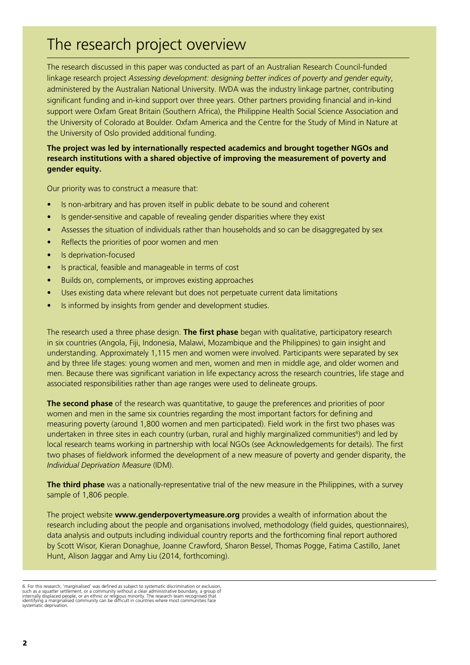# The research project overview

The research discussed in this paper was conducted as part of an Australian Research Council-funded linkage research project *Assessing development: designing better indices of poverty and gender equity*, administered by the Australian National University. IWDA was the industry linkage partner, contributing significant funding and in-kind support over three years. Other partners providing financial and in-kind support were Oxfam Great Britain (Southern Africa), the Philippine Health Social Science Association and the University of Colorado at Boulder. Oxfam America and the Centre for the Study of Mind in Nature at the University of Oslo provided additional funding.

## **The project was led by internationally respected academics and brought together NGOs and research institutions with a shared objective of improving the measurement of poverty and gender equity.**

Our priority was to construct a measure that:

- Is non-arbitrary and has proven itself in public debate to be sound and coherent
- Is gender-sensitive and capable of revealing gender disparities where they exist
- Assesses the situation of individuals rather than households and so can be disaggregated by sex
- Reflects the priorities of poor women and men
- Is deprivation-focused
- • Is practical, feasible and manageable in terms of cost
- • Builds on, complements, or improves existing approaches
- Uses existing data where relevant but does not perpetuate current data limitations
- Is informed by insights from gender and development studies.

The research used a three phase design. **The first phase** began with qualitative, participatory research in six countries (Angola, Fiji, Indonesia, Malawi, Mozambique and the Philippines) to gain insight and understanding. Approximately 1,115 men and women were involved. Participants were separated by sex and by three life stages: young women and men, women and men in middle age, and older women and men. Because there was significant variation in life expectancy across the research countries, life stage and associated responsibilities rather than age ranges were used to delineate groups.

**The second phase** of the research was quantitative, to gauge the preferences and priorities of poor women and men in the same six countries regarding the most important factors for defining and measuring poverty (around 1,800 women and men participated). Field work in the first two phases was undertaken in three sites in each country (urban, rural and highly marginalized communities<sup>6</sup>) and led by local research teams working in partnership with local NGOs (see Acknowledgements for details). The first two phases of fieldwork informed the development of a new measure of poverty and gender disparity, the *Individual Deprivation Measure* (IDM).

**The third phase** was a nationally-representative trial of the new measure in the Philippines, with a survey sample of 1,806 people.

The project website **www.genderpovertymeasure.org** provides a wealth of information about the research including about the people and organisations involved, methodology (field guides, questionnaires), data analysis and outputs including individual country reports and the forthcoming final report authored by Scott Wisor, Kieran Donaghue, Joanne Crawford, Sharon Bessel, Thomas Pogge, Fatima Castillo, Janet Hunt, Alison Jaggar and Amy Liu (2014, forthcoming).

<sup>6.</sup> For this research, 'marginalised' was defined as subject to systematic discrimination or exclusion,<br>such as a squatter settlement, or a community without a clear administrative boundary, a group of<br>internally displaced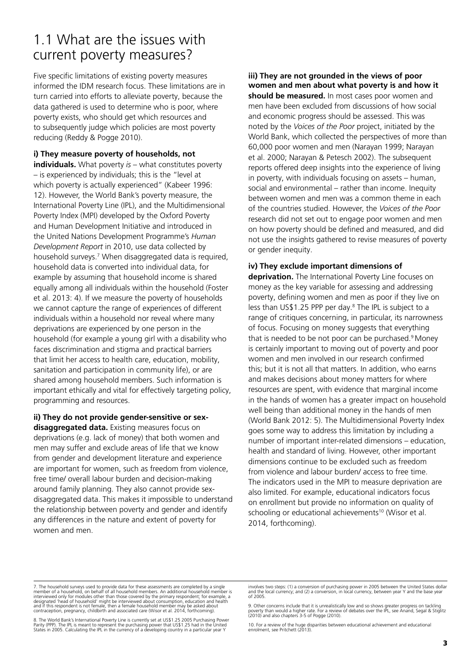## 1.1 What are the issues with current poverty measures?

Five specific limitations of existing poverty measures informed the IDM research focus. These limitations are in turn carried into efforts to alleviate poverty, because the data gathered is used to determine who is poor, where poverty exists, who should get which resources and to subsequently judge which policies are most poverty reducing (Reddy & Pogge 2010).

### **i) They measure poverty of households, not**

**individuals.** What poverty *is* – what constitutes poverty – is experienced by individuals; this is the "level at which poverty is actually experienced" (Kabeer 1996: 12). However, the World Bank's poverty measure, the International Poverty Line (IPL), and the Multidimensional Poverty Index (MPI) developed by the Oxford Poverty and Human Development Initiative and introduced in the United Nations Development Programme's *Human Development Report* in 2010, use data collected by household surveys.7 When disaggregated data is required, household data is converted into individual data, for example by assuming that household income is shared equally among all individuals within the household (Foster et al. 2013: 4). If we measure the poverty of households we cannot capture the range of experiences of different individuals within a household nor reveal where many deprivations are experienced by one person in the household (for example a young girl with a disability who faces discrimination and stigma and practical barriers that limit her access to health care, education, mobility, sanitation and participation in community life), or are shared among household members. Such information is important ethically and vital for effectively targeting policy, programming and resources.

**ii) They do not provide gender-sensitive or sexdisaggregated data.** Existing measures focus on deprivations (e.g. lack of money) that both women and men may suffer and exclude areas of life that we know from gender and development literature and experience are important for women, such as freedom from violence, free time/ overall labour burden and decision-making around family planning. They also cannot provide sexdisaggregated data. This makes it impossible to understand the relationship between poverty and gender and identify any differences in the nature and extent of poverty for women and men.

**iii) They are not grounded in the views of poor women and men about what poverty is and how it should be measured.** In most cases poor women and men have been excluded from discussions of how social and economic progress should be assessed. This was noted by the *Voices of the Poor* project, initiated by the World Bank, which collected the perspectives of more than 60,000 poor women and men (Narayan 1999; Narayan et al. 2000; Narayan & Petesch 2002). The subsequent reports offered deep insights into the experience of living in poverty, with individuals focusing on assets – human, social and environmental – rather than income. Inequity between women and men was a common theme in each of the countries studied. However, the *Voices of the Poor* research did not set out to engage poor women and men on how poverty should be defined and measured, and did not use the insights gathered to revise measures of poverty or gender inequity.

## **iv) They exclude important dimensions of**

**deprivation.** The International Poverty Line focuses on money as the key variable for assessing and addressing poverty, defining women and men as poor if they live on less than US\$1.25 PPP per day.<sup>8</sup> The IPL is subject to a range of critiques concerning, in particular, its narrowness of focus. Focusing on money suggests that everything that is needed to be not poor can be purchased.<sup>9</sup> Money is certainly important to moving out of poverty and poor women and men involved in our research confirmed this; but it is not all that matters. In addition, who earns and makes decisions about money matters for where resources are spent, with evidence that marginal income in the hands of women has a greater impact on household well being than additional money in the hands of men (World Bank 2012: 5). The Multidimensional Poverty Index goes some way to address this limitation by including a number of important inter-related dimensions – education, health and standard of living. However, other important dimensions continue to be excluded such as freedom from violence and labour burden/ access to free time. The indicators used in the MPI to measure deprivation are also limited. For example, educational indicators focus on enrollment but provide no information on quality of schooling or educational achievements<sup>10</sup> (Wisor et al. 2014, forthcoming).

7. The household surveys used to provide data for these assessments are completed by a single<br>member of a household, on behalf of all household members. An additional household member is<br>interviewed only for modules other and if this respondent is not female, then a female household member may be asked about contraception, pregnancy, childbirth and associated care (Wisor et al. 2014, forthcoming).

8. The World Bank's International Poverty Line is currently set at US\$1.25 2005 Purchasing Power<br>Parity (PPP). The IPL is meant to represent the purchasing power that US\$1.25 had in the United<br>States in 2005. Calculating t

involves two steps: (1) a conversion of purchasing power in 2005 between the United States dollar and the local currency; and (2) a conversion, in local currency, between year Y and the base year of 2005.

9. Other concerns include that it is unrealistically low and so shows greater progress on tackling poverty than would a higher rate. For a review of debates over the IPL, see Anand, Segal & Stiglitz poverty than would a mighter rate. For a result.<br>(2010) and also chapters 3-5 of Pogge (2010).

10. For a review of the huge disparities between educational achievement and educational enrolment, see Pritchett (2013).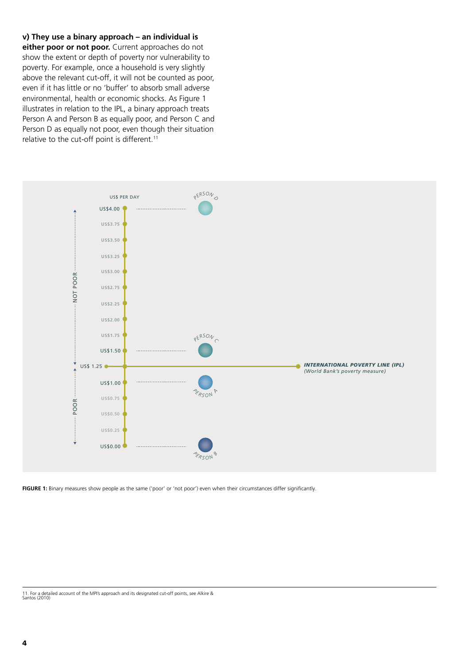**v) They use a binary approach – an individual is either poor or not poor.** Current approaches do not show the extent or depth of poverty nor vulnerability to poverty. For example, once a household is very slightly above the relevant cut-off, it will not be counted as poor, even if it has little or no 'buffer' to absorb small adverse environmental, health or economic shocks. As Figure 1 illustrates in relation to the IPL, a binary approach treats Person A and Person B as equally poor, and Person C and Person D as equally not poor, even though their situation relative to the cut-off point is different.<sup>11</sup>



**FIGURE 1:** Binary measures show people as the same ('poor' or 'not poor') even when their circumstances differ significantly.

<sup>11.</sup> For a detailed account of the MPI's approach and its designated cut-off points, see Alkire & Santos (2010)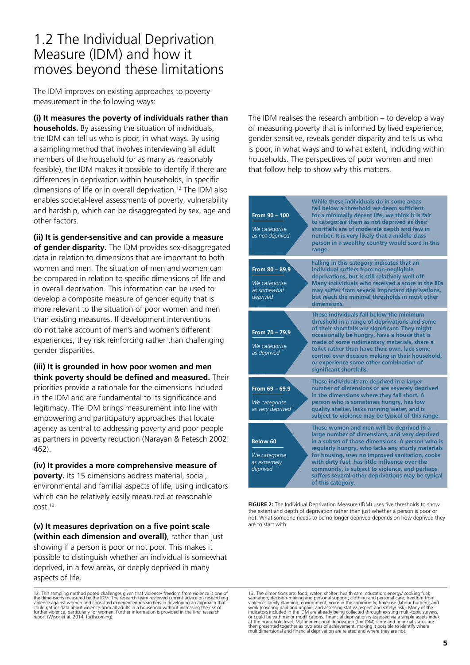## 1.2 The Individual Deprivation Measure (IDM) and how it moves beyond these limitations

The IDM improves on existing approaches to poverty measurement in the following ways:

**(i) It measures the poverty of individuals rather than households.** By assessing the situation of individuals, the IDM can tell us who is poor, in what ways. By using a sampling method that involves interviewing all adult members of the household (or as many as reasonably feasible), the IDM makes it possible to identify if there are differences in deprivation within households, in specific dimensions of life or in overall deprivation.12 The IDM also enables societal-level assessments of poverty, vulnerability and hardship, which can be disaggregated by sex, age and other factors.

**(ii) It is gender-sensitive and can provide a measure of gender disparity.** The IDM provides sex-disaggregated data in relation to dimensions that are important to both women and men. The situation of men and women can be compared in relation to specific dimensions of life and in overall deprivation. This information can be used to develop a composite measure of gender equity that is more relevant to the situation of poor women and men than existing measures. If development interventions do not take account of men's and women's different experiences, they risk reinforcing rather than challenging gender disparities.

**(iii) It is grounded in how poor women and men think poverty should be defined and measured.** Their priorities provide a rationale for the dimensions included in the IDM and are fundamental to its significance and legitimacy. The IDM brings measurement into line with empowering and participatory approaches that locate agency as central to addressing poverty and poor people as partners in poverty reduction (Narayan & Petesch 2002: 462).

**(iv) It provides a more comprehensive measure of poverty.** Its 15 dimensions address material, social, environmental and familial aspects of life, using indicators which can be relatively easily measured at reasonable cost.13

**(v) It measures deprivation on a five point scale (within each dimension and overall)**, rather than just showing if a person is poor or not poor. This makes it possible to distinguish whether an individual is somewhat deprived, in a few areas, or deeply deprived in many aspects of life.

The IDM realises the research ambition – to develop a way of measuring poverty that is informed by lived experience, gender sensitive, reveals gender disparity and tells us who is poor, in what ways and to what extent, including within households. The perspectives of poor women and men that follow help to show why this matters.

| From 90 - 100<br>We categorise<br>as not deprived          | While these individuals do in some areas<br>fall below a threshold we deem sufficient<br>for a minimally decent life, we think it is fair<br>to categorise them as not deprived as their<br>shortfalls are of moderate depth and few in<br>number. It is very likely that a middle-class<br>person in a wealthy country would score in this<br>range.                                                                               |
|------------------------------------------------------------|-------------------------------------------------------------------------------------------------------------------------------------------------------------------------------------------------------------------------------------------------------------------------------------------------------------------------------------------------------------------------------------------------------------------------------------|
| From 80 - 89.9<br>We categorise<br>as somewhat<br>deprived | Falling in this category indicates that an<br>individual suffers from non-negligible<br>deprivations, but is still relatively well off.<br>Many individuals who received a score in the 80s<br>may suffer from several important deprivations,<br>but reach the minimal thresholds in most other<br>dimensions.                                                                                                                     |
| From 70 - 79.9<br>We categorise<br>as deprived             | These individuals fall below the minimum<br>threshold in a range of deprivations and some<br>of their shortfalls are significant. They might<br>occasionally be hungry, have a house that is<br>made of some rudimentary materials, share a<br>toilet rather than have their own, lack some<br>control over decision making in their household,<br>or experience some other combination of<br>significant shortfalls.               |
| From $69 - 69.9$<br>We categorise<br>as very deprived      | These individuals are deprived in a larger<br>number of dimensions or are severely deprived<br>in the dimensions where they fall short. A<br>person who is sometimes hungry, has low<br>quality shelter, lacks running water, and is<br>subject to violence may be typical of this range.                                                                                                                                           |
| Below 60<br>We categorise<br>as extremely<br>deprived      | These women and men will be deprived in a<br>large number of dimensions, and very deprived<br>in a subset of those dimensions. A person who is<br>regularly hungry, who lacks any sturdy materials<br>for housing, uses no improved sanitation, cooks<br>with dirty fuel, has little influence over the<br>community, is subject to violence, and perhaps<br>suffers several other deprivations may be typical<br>of this category. |

**FIGURE 2:** The Individual Deprivation Measure (IDM) uses five thresholds to show the extent and depth of deprivation rather than just whether a person is poor or not. What someone needs to be no longer deprived depends on how deprived they are to start with.

13. The dimensions are: food; water; shelter; health care; education; energy/ cooking fuel; sanitation; decision-making and personal support; clothing and increading reviousion if omer solidation; discline with exilometer;

<sup>12.</sup> This sampling method posed challenges given that violence/ freedom from violence is one of<br>the dimensions measured by the IDM. The research team reviewed current advice on researching<br>violence against women and consult further violence, particularly for women. Further information is provided in the final research report (Wisor et al. 2014, forthcoming).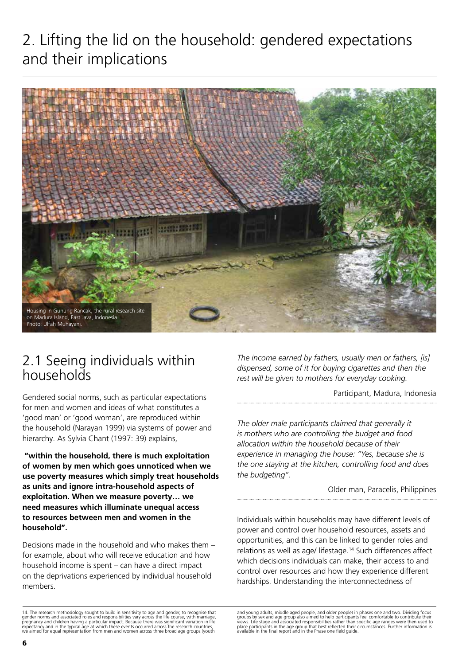# 2. Lifting the lid on the household: gendered expectations and their implications



## 2.1 Seeing individuals within households

Gendered social norms, such as particular expectations for men and women and ideas of what constitutes a 'good man' or 'good woman', are reproduced within the household (Narayan 1999) via systems of power and hierarchy. As Sylvia Chant (1997: 39) explains,

**"within the household, there is much exploitation of women by men which goes unnoticed when we use poverty measures which simply treat households as units and ignore intra-household aspects of exploitation. When we measure poverty… we need measures which illuminate unequal access to resources between men and women in the household".**

Decisions made in the household and who makes them – for example, about who will receive education and how household income is spent – can have a direct impact on the deprivations experienced by individual household members.

*The income earned by fathers, usually men or fathers, [is] dispensed, some of it for buying cigarettes and then the rest will be given to mothers for everyday cooking.* 

Participant, Madura, Indonesia

*The older male participants claimed that generally it is mothers who are controlling the budget and food allocation within the household because of their experience in managing the house: "Yes, because she is the one staying at the kitchen, controlling food and does the budgeting".* 

Older man, Paracelis, Philippines

Individuals within households may have different levels of power and control over household resources, assets and opportunities, and this can be linked to gender roles and relations as well as age/ lifestage.<sup>14</sup> Such differences affect which decisions individuals can make, their access to and control over resources and how they experience different hardships. Understanding the interconnectedness of

<sup>14.</sup> The research methodology sought to build in sensitivity to age and gender, to recognise that<br>gender norms and associated roles and responsibilities vary across the life course, with marriage,<br>pregnancy and children hav

and young adults, middle aged people, and older people) in phases one and two. Dividing focus groups by sex and age group also aimed to help participants feel comfortable to contribute their<br>views. Life stage and associated responsibilities rather than specific age ranges were then used to<br>place participants in the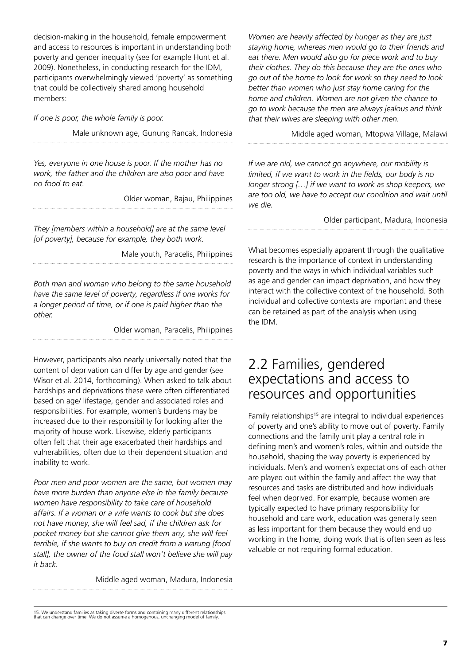decision-making in the household, female empowerment and access to resources is important in understanding both poverty and gender inequality (see for example Hunt et al. 2009). Nonetheless, in conducting research for the IDM, participants overwhelmingly viewed 'poverty' as something that could be collectively shared among household members:

*If one is poor, the whole family is poor.* 

Male unknown age, Gunung Rancak, Indonesia

*Yes, everyone in one house is poor. If the mother has no work, the father and the children are also poor and have no food to eat.* 

Older woman, Bajau, Philippines

*They [members within a household] are at the same level [of poverty], because for example, they both work.* 

Male youth, Paracelis, Philippines

*Both man and woman who belong to the same household have the same level of poverty, regardless if one works for a longer period of time, or if one is paid higher than the other.* 

Older woman, Paracelis, Philippines

However, participants also nearly universally noted that the content of deprivation can differ by age and gender (see Wisor et al. 2014, forthcoming). When asked to talk about hardships and deprivations these were often differentiated based on age/ lifestage, gender and associated roles and responsibilities. For example, women's burdens may be increased due to their responsibility for looking after the majority of house work. Likewise, elderly participants often felt that their age exacerbated their hardships and vulnerabilities, often due to their dependent situation and inability to work.

*Poor men and poor women are the same, but women may have more burden than anyone else in the family because women have responsibility to take care of household affairs. If a woman or a wife wants to cook but she does not have money, she will feel sad, if the children ask for pocket money but she cannot give them any, she will feel terrible, if she wants to buy on credit from a warung [food stall], the owner of the food stall won't believe she will pay it back.* 

Middle aged woman, Madura, Indonesia

*Women are heavily affected by hunger as they are just staying home, whereas men would go to their friends and eat there. Men would also go for piece work and to buy their clothes. They do this because they are the ones who go out of the home to look for work so they need to look better than women who just stay home caring for the home and children. Women are not given the chance to go to work because the men are always jealous and think that their wives are sleeping with other men.*

Middle aged woman, Mtopwa Village, Malawi

*If we are old, we cannot go anywhere, our mobility is limited, if we want to work in the fields, our body is no longer strong […] if we want to work as shop keepers, we are too old, we have to accept our condition and wait until we die.* 

Older participant, Madura, Indonesia

What becomes especially apparent through the qualitative research is the importance of context in understanding poverty and the ways in which individual variables such as age and gender can impact deprivation, and how they interact with the collective context of the household. Both individual and collective contexts are important and these can be retained as part of the analysis when using the IDM.

## 2.2 Families, gendered expectations and access to resources and opportunities

Family relationships<sup>15</sup> are integral to individual experiences of poverty and one's ability to move out of poverty. Family connections and the family unit play a central role in defining men's and women's roles, within and outside the household, shaping the way poverty is experienced by individuals. Men's and women's expectations of each other are played out within the family and affect the way that resources and tasks are distributed and how individuals feel when deprived. For example, because women are typically expected to have primary responsibility for household and care work, education was generally seen as less important for them because they would end up working in the home, doing work that is often seen as less valuable or not requiring formal education.

<sup>15.</sup> We understand families as taking diverse forms and containing many different relationships that can change over time. We do not assume a homogenous, unchanging model of family.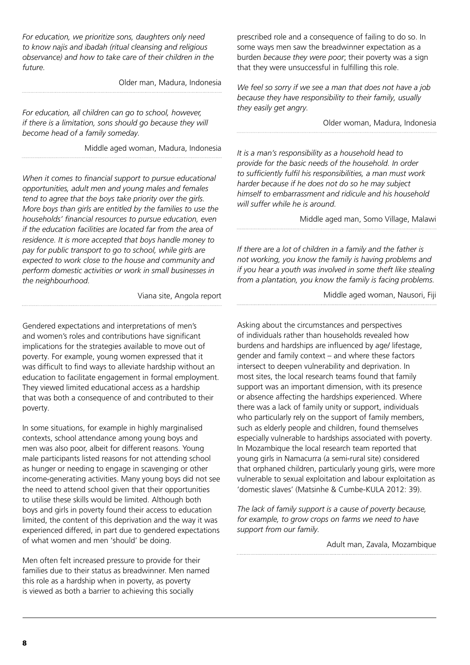*For education, we prioritize sons, daughters only need to know najis and ibadah (ritual cleansing and religious observance) and how to take care of their children in the future.* 

Older man, Madura, Indonesia

*For education, all children can go to school, however, if there is a limitation, sons should go because they will become head of a family someday.* 

Middle aged woman, Madura, Indonesia

*When it comes to financial support to pursue educational opportunities, adult men and young males and females tend to agree that the boys take priority over the girls. More boys than girls are entitled by the families to use the households' financial resources to pursue education, even if the education facilities are located far from the area of residence. It is more accepted that boys handle money to pay for public transport to go to school, while girls are expected to work close to the house and community and perform domestic activities or work in small businesses in the neighbourhood.* 

Viana site, Angola report

Gendered expectations and interpretations of men's and women's roles and contributions have significant implications for the strategies available to move out of poverty. For example, young women expressed that it was difficult to find ways to alleviate hardship without an education to facilitate engagement in formal employment. They viewed limited educational access as a hardship that was both a consequence of and contributed to their poverty.

In some situations, for example in highly marginalised contexts, school attendance among young boys and men was also poor, albeit for different reasons. Young male participants listed reasons for not attending school as hunger or needing to engage in scavenging or other income-generating activities. Many young boys did not see the need to attend school given that their opportunities to utilise these skills would be limited. Although both boys and girls in poverty found their access to education limited, the content of this deprivation and the way it was experienced differed, in part due to gendered expectations of what women and men 'should' be doing.

Men often felt increased pressure to provide for their families due to their status as breadwinner. Men named this role as a hardship when in poverty, as poverty is viewed as both a barrier to achieving this socially

prescribed role and a consequence of failing to do so. In some ways men saw the breadwinner expectation as a burden *because they were poor*; their poverty was a sign that they were unsuccessful in fulfilling this role.

*We feel so sorry if we see a man that does not have a job because they have responsibility to their family, usually they easily get angry.* 

Older woman, Madura, Indonesia

*It is a man's responsibility as a household head to provide for the basic needs of the household. In order to sufficiently fulfil his responsibilities, a man must work harder because if he does not do so he may subject himself to embarrassment and ridicule and his household will suffer while he is around.* 

Middle aged man, Somo Village, Malawi

*If there are a lot of children in a family and the father is not working, you know the family is having problems and if you hear a youth was involved in some theft like stealing from a plantation, you know the family is facing problems.* 

Middle aged woman, Nausori, Fiji

Asking about the circumstances and perspectives of individuals rather than households revealed how burdens and hardships are influenced by age/ lifestage, gender and family context – and where these factors intersect to deepen vulnerability and deprivation. In most sites, the local research teams found that family support was an important dimension, with its presence or absence affecting the hardships experienced. Where there was a lack of family unity or support, individuals who particularly rely on the support of family members, such as elderly people and children, found themselves especially vulnerable to hardships associated with poverty. In Mozambique the local research team reported that young girls in Namacurra (a semi-rural site) considered that orphaned children, particularly young girls, were more vulnerable to sexual exploitation and labour exploitation as 'domestic slaves' (Matsinhe & Cumbe-KULA 2012: 39).

*The lack of family support is a cause of poverty because, for example, to grow crops on farms we need to have support from our family.* 

Adult man, Zavala, Mozambique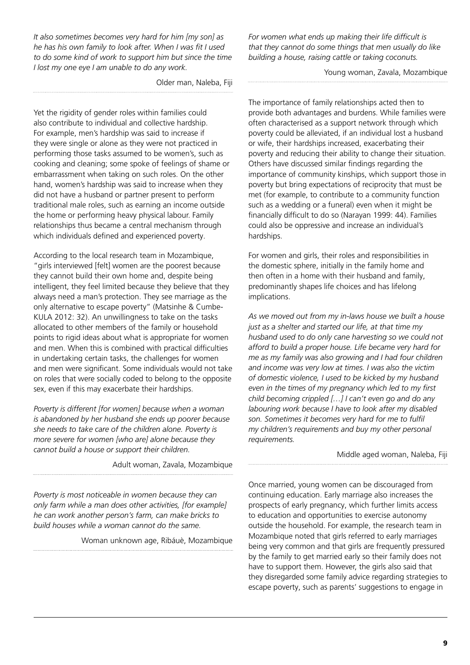*It also sometimes becomes very hard for him [my son] as he has his own family to look after. When I was fit I used to do some kind of work to support him but since the time I lost my one eye I am unable to do any work.* 

Older man, Naleba, Fiji

Yet the rigidity of gender roles within families could also contribute to individual and collective hardship. For example, men's hardship was said to increase if they were single or alone as they were not practiced in performing those tasks assumed to be women's, such as cooking and cleaning; some spoke of feelings of shame or embarrassment when taking on such roles. On the other hand, women's hardship was said to increase when they did not have a husband or partner present to perform traditional male roles, such as earning an income outside the home or performing heavy physical labour. Family relationships thus became a central mechanism through which individuals defined and experienced poverty.

According to the local research team in Mozambique, "girls interviewed [felt] women are the poorest because they cannot build their own home and, despite being intelligent, they feel limited because they believe that they always need a man's protection. They see marriage as the only alternative to escape poverty" (Matsinhe & Cumbe-KULA 2012: 32). An unwillingness to take on the tasks allocated to other members of the family or household points to rigid ideas about what is appropriate for women and men. When this is combined with practical difficulties in undertaking certain tasks, the challenges for women and men were significant. Some individuals would not take on roles that were socially coded to belong to the opposite sex, even if this may exacerbate their hardships.

*Poverty is different [for women] because when a woman is abandoned by her husband she ends up poorer because she needs to take care of the children alone. Poverty is more severe for women [who are] alone because they cannot build a house or support their children.* 

Adult woman, Zavala, Mozambique

*Poverty is most noticeable in women because they can only farm while a man does other activities, [for example] he can work another person's farm, can make bricks to build houses while a woman cannot do the same.* 

Woman unknown age, Ribáuè, Mozambique

*For women what ends up making their life difficult is that they cannot do some things that men usually do like building a house, raising cattle or taking coconuts.* 

Young woman, Zavala, Mozambique

The importance of family relationships acted then to provide both advantages and burdens. While families were often characterised as a support network through which poverty could be alleviated, if an individual lost a husband or wife, their hardships increased, exacerbating their poverty and reducing their ability to change their situation. Others have discussed similar findings regarding the importance of community kinships, which support those in poverty but bring expectations of reciprocity that must be met (for example, to contribute to a community function such as a wedding or a funeral) even when it might be financially difficult to do so (Narayan 1999: 44). Families could also be oppressive and increase an individual's hardships.

For women and girls, their roles and responsibilities in the domestic sphere, initially in the family home and then often in a home with their husband and family, predominantly shapes life choices and has lifelong implications.

*As we moved out from my in-laws house we built a house just as a shelter and started our life, at that time my husband used to do only cane harvesting so we could not afford to build a proper house. Life became very hard for me as my family was also growing and I had four children and income was very low at times. I was also the victim of domestic violence, I used to be kicked by my husband even in the times of my pregnancy which led to my first child becoming crippled […] I can't even go and do any labouring work because I have to look after my disabled son. Sometimes it becomes very hard for me to fulfil my children's requirements and buy my other personal requirements.* 

Middle aged woman, Naleba, Fiji

Once married, young women can be discouraged from continuing education. Early marriage also increases the prospects of early pregnancy, which further limits access to education and opportunities to exercise autonomy outside the household. For example, the research team in Mozambique noted that girls referred to early marriages being very common and that girls are frequently pressured by the family to get married early so their family does not have to support them. However, the girls also said that they disregarded some family advice regarding strategies to escape poverty, such as parents' suggestions to engage in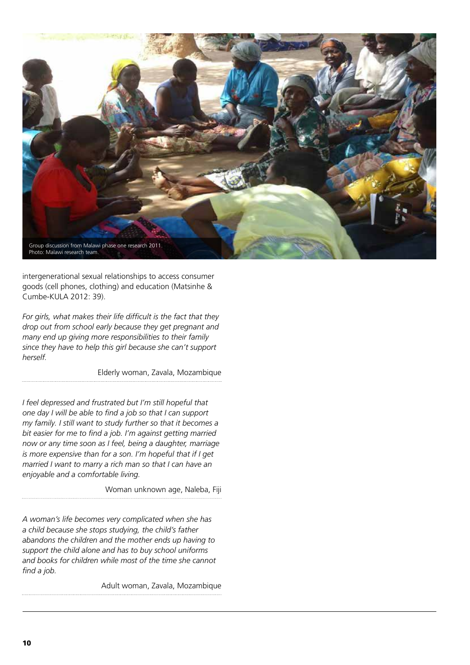

intergenerational sexual relationships to access consumer goods (cell phones, clothing) and education (Matsinhe & Cumbe-KULA 2012: 39).

*For girls, what makes their life difficult is the fact that they drop out from school early because they get pregnant and many end up giving more responsibilities to their family since they have to help this girl because she can't support herself.* 

Elderly woman, Zavala, Mozambique

*I feel depressed and frustrated but I'm still hopeful that one day I will be able to find a job so that I can support my family. I still want to study further so that it becomes a bit easier for me to find a job. I'm against getting married now or any time soon as I feel, being a daughter, marriage is more expensive than for a son. I'm hopeful that if I get married I want to marry a rich man so that I can have an enjoyable and a comfortable living.* 

Woman unknown age, Naleba, Fiji

*A woman's life becomes very complicated when she has a child because she stops studying, the child's father abandons the children and the mother ends up having to support the child alone and has to buy school uniforms and books for children while most of the time she cannot find a job.*

Adult woman, Zavala, Mozambique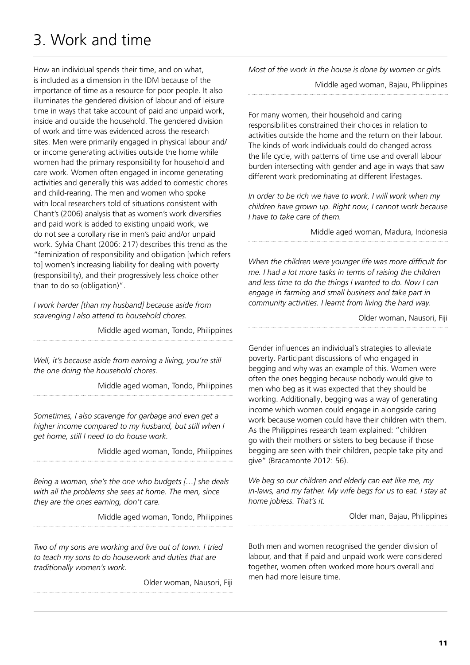# 3. Work and time

How an individual spends their time, and on what, is included as a dimension in the IDM because of the importance of time as a resource for poor people. It also illuminates the gendered division of labour and of leisure time in ways that take account of paid and unpaid work, inside and outside the household. The gendered division of work and time was evidenced across the research sites. Men were primarily engaged in physical labour and/ or income generating activities outside the home while women had the primary responsibility for household and care work. Women often engaged in income generating activities and generally this was added to domestic chores and child-rearing. The men and women who spoke with local researchers told of situations consistent with Chant's (2006) analysis that as women's work diversifies and paid work is added to existing unpaid work, we do not see a corollary rise in men's paid and/or unpaid work. Sylvia Chant (2006: 217) describes this trend as the "feminization of responsibility and obligation [which refers to] women's increasing liability for dealing with poverty (responsibility), and their progressively less choice other than to do so (obligation)".

*I work harder [than my husband] because aside from scavenging I also attend to household chores.*

Middle aged woman, Tondo, Philippines

*Well, it's because aside from earning a living, you're still the one doing the household chores.*

Middle aged woman, Tondo, Philippines

*Sometimes, I also scavenge for garbage and even get a higher income compared to my husband, but still when I get home, still I need to do house work.*

Middle aged woman, Tondo, Philippines

*Being a woman, she's the one who budgets […] she deals with all the problems she sees at home. The men, since they are the ones earning, don't care.*

Middle aged woman, Tondo, Philippines

*Two of my sons are working and live out of town. I tried to teach my sons to do housework and duties that are traditionally women's work.* 

Older woman, Nausori, Fiji

*Most of the work in the house is done by women or girls.* 

Middle aged woman, Bajau, Philippines

For many women, their household and caring responsibilities constrained their choices in relation to activities outside the home and the return on their labour. The kinds of work individuals could do changed across the life cycle, with patterns of time use and overall labour burden intersecting with gender and age in ways that saw different work predominating at different lifestages.

*In order to be rich we have to work. I will work when my children have grown up. Right now, I cannot work because I have to take care of them.* 

Middle aged woman, Madura, Indonesia

*When the children were younger life was more difficult for me. I had a lot more tasks in terms of raising the children and less time to do the things I wanted to do. Now I can engage in farming and small business and take part in community activities. I learnt from living the hard way.*

Older woman, Nausori, Fiji

Gender influences an individual's strategies to alleviate poverty. Participant discussions of who engaged in begging and why was an example of this. Women were often the ones begging because nobody would give to men who beg as it was expected that they should be working. Additionally, begging was a way of generating income which women could engage in alongside caring work because women could have their children with them. As the Philippines research team explained: "children go with their mothers or sisters to beg because if those begging are seen with their children, people take pity and give" (Bracamonte 2012: 56).

*We beg so our children and elderly can eat like me, my in-laws, and my father. My wife begs for us to eat. I stay at home jobless. That's it.* 

Older man, Bajau, Philippines

Both men and women recognised the gender division of labour, and that if paid and unpaid work were considered together, women often worked more hours overall and men had more leisure time.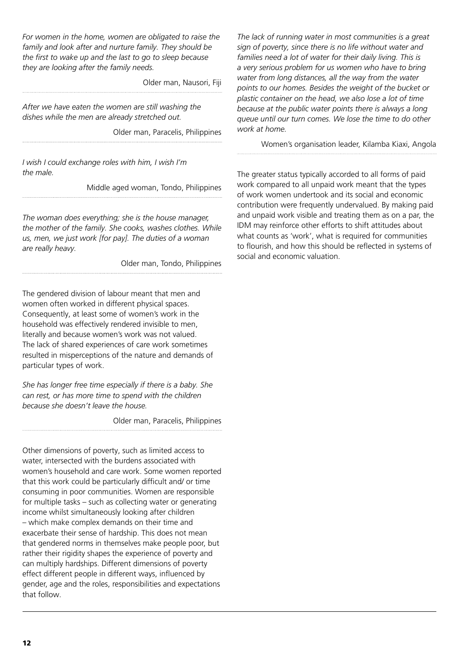*For women in the home, women are obligated to raise the family and look after and nurture family. They should be the first to wake up and the last to go to sleep because they are looking after the family needs.* 

Older man, Nausori, Fiji

*After we have eaten the women are still washing the dishes while the men are already stretched out.* 

Older man, Paracelis, Philippines

*I wish I could exchange roles with him, I wish I'm the male.*

Middle aged woman, Tondo, Philippines

*The woman does everything; she is the house manager, the mother of the family. She cooks, washes clothes. While us, men, we just work [for pay]. The duties of a woman are really heavy.* 

Older man, Tondo, Philippines

The gendered division of labour meant that men and women often worked in different physical spaces. Consequently, at least some of women's work in the household was effectively rendered invisible to men, literally and because women's work was not valued. The lack of shared experiences of care work sometimes resulted in misperceptions of the nature and demands of particular types of work.

*She has longer free time especially if there is a baby. She can rest, or has more time to spend with the children because she doesn't leave the house.* 

Older man, Paracelis, Philippines

Other dimensions of poverty, such as limited access to water, intersected with the burdens associated with women's household and care work. Some women reported that this work could be particularly difficult and/ or time consuming in poor communities. Women are responsible for multiple tasks – such as collecting water or generating income whilst simultaneously looking after children – which make complex demands on their time and exacerbate their sense of hardship. This does not mean that gendered norms in themselves make people poor, but rather their rigidity shapes the experience of poverty and can multiply hardships. Different dimensions of poverty effect different people in different ways, influenced by gender, age and the roles, responsibilities and expectations that follow.

*The lack of running water in most communities is a great sign of poverty, since there is no life without water and families need a lot of water for their daily living. This is a very serious problem for us women who have to bring water from long distances, all the way from the water points to our homes. Besides the weight of the bucket or plastic container on the head, we also lose a lot of time because at the public water points there is always a long queue until our turn comes. We lose the time to do other work at home.* 

Women's organisation leader, Kilamba Kiaxi, Angola

The greater status typically accorded to all forms of paid work compared to all unpaid work meant that the types of work women undertook and its social and economic contribution were frequently undervalued. By making paid and unpaid work visible and treating them as on a par, the IDM may reinforce other efforts to shift attitudes about what counts as 'work', what is required for communities to flourish, and how this should be reflected in systems of social and economic valuation.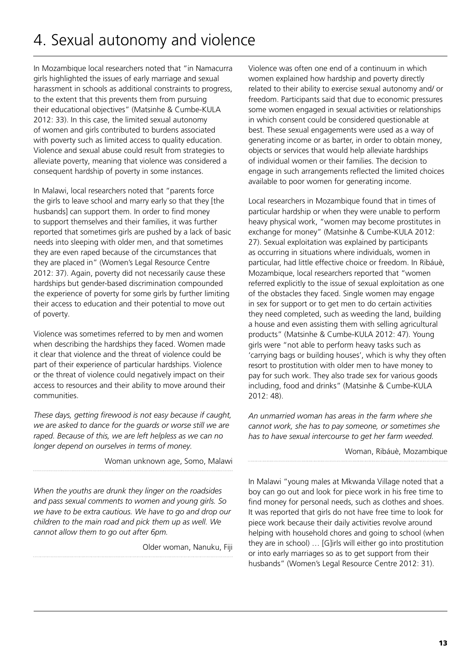# 4. Sexual autonomy and violence

In Mozambique local researchers noted that "in Namacurra girls highlighted the issues of early marriage and sexual harassment in schools as additional constraints to progress, to the extent that this prevents them from pursuing their educational objectives" (Matsinhe & Cumbe-KULA 2012: 33). In this case, the limited sexual autonomy of women and girls contributed to burdens associated with poverty such as limited access to quality education. Violence and sexual abuse could result from strategies to alleviate poverty, meaning that violence was considered a consequent hardship of poverty in some instances.

In Malawi, local researchers noted that "parents force the girls to leave school and marry early so that they [the husbands] can support them. In order to find money to support themselves and their families, it was further reported that sometimes girls are pushed by a lack of basic needs into sleeping with older men, and that sometimes they are even raped because of the circumstances that they are placed in" (Women's Legal Resource Centre 2012: 37). Again, poverty did not necessarily cause these hardships but gender-based discrimination compounded the experience of poverty for some girls by further limiting their access to education and their potential to move out of poverty.

Violence was sometimes referred to by men and women when describing the hardships they faced. Women made it clear that violence and the threat of violence could be part of their experience of particular hardships. Violence or the threat of violence could negatively impact on their access to resources and their ability to move around their communities.

*These days, getting firewood is not easy because if caught, we are asked to dance for the guards or worse still we are raped. Because of this, we are left helpless as we can no longer depend on ourselves in terms of money.*

Woman unknown age, Somo, Malawi

*When the youths are drunk they linger on the roadsides and pass sexual comments to women and young girls. So we have to be extra cautious. We have to go and drop our children to the main road and pick them up as well. We cannot allow them to go out after 6pm.* 

Older woman, Nanuku, Fiji

Violence was often one end of a continuum in which women explained how hardship and poverty directly related to their ability to exercise sexual autonomy and/ or freedom. Participants said that due to economic pressures some women engaged in sexual activities or relationships in which consent could be considered questionable at best. These sexual engagements were used as a way of generating income or as barter, in order to obtain money, objects or services that would help alleviate hardships of individual women or their families. The decision to engage in such arrangements reflected the limited choices available to poor women for generating income.

Local researchers in Mozambique found that in times of particular hardship or when they were unable to perform heavy physical work, "women may become prostitutes in exchange for money" (Matsinhe & Cumbe-KULA 2012: 27). Sexual exploitation was explained by participants as occurring in situations where individuals, women in particular, had little effective choice or freedom. In Ribáuè, Mozambique, local researchers reported that "women referred explicitly to the issue of sexual exploitation as one of the obstacles they faced. Single women may engage in sex for support or to get men to do certain activities they need completed, such as weeding the land, building a house and even assisting them with selling agricultural products" (Matsinhe & Cumbe-KULA 2012: 47). Young girls were "not able to perform heavy tasks such as 'carrying bags or building houses', which is why they often resort to prostitution with older men to have money to pay for such work. They also trade sex for various goods including, food and drinks" (Matsinhe & Cumbe-KULA 2012: 48).

*An unmarried woman has areas in the farm where she cannot work, she has to pay someone, or sometimes she has to have sexual intercourse to get her farm weeded.*

Woman, Ribáuè, Mozambique

In Malawi "young males at Mkwanda Village noted that a boy can go out and look for piece work in his free time to find money for personal needs, such as clothes and shoes. It was reported that girls do not have free time to look for piece work because their daily activities revolve around helping with household chores and going to school (when they are in school) … [G]irls will either go into prostitution or into early marriages so as to get support from their husbands" (Women's Legal Resource Centre 2012: 31).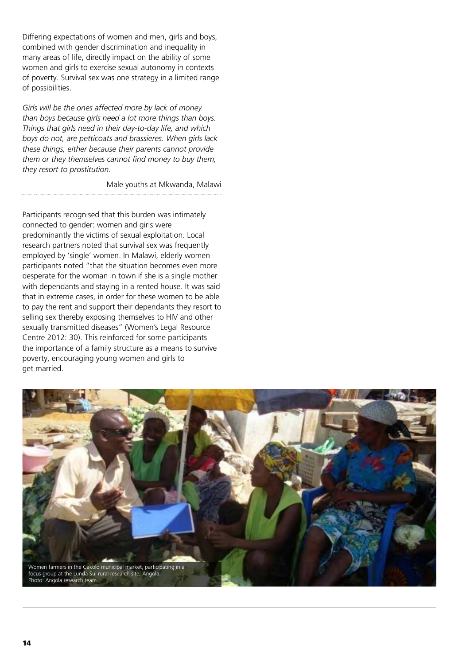Differing expectations of women and men, girls and boys, combined with gender discrimination and inequality in many areas of life, directly impact on the ability of some women and girls to exercise sexual autonomy in contexts of poverty. Survival sex was one strategy in a limited range of possibilities.

*Girls will be the ones affected more by lack of money than boys because girls need a lot more things than boys. Things that girls need in their day-to-day life, and which boys do not, are petticoats and brassieres. When girls lack these things, either because their parents cannot provide them or they themselves cannot find money to buy them, they resort to prostitution.* 

Male youths at Mkwanda, Malawi

Participants recognised that this burden was intimately connected to gender: women and girls were predominantly the victims of sexual exploitation. Local research partners noted that survival sex was frequently employed by 'single' women. In Malawi, elderly women participants noted "that the situation becomes even more desperate for the woman in town if she is a single mother with dependants and staying in a rented house. It was said that in extreme cases, in order for these women to be able to pay the rent and support their dependants they resort to selling sex thereby exposing themselves to HIV and other sexually transmitted diseases" (Women's Legal Resource Centre 2012: 30). This reinforced for some participants the importance of a family structure as a means to survive poverty, encouraging young women and girls to get married.

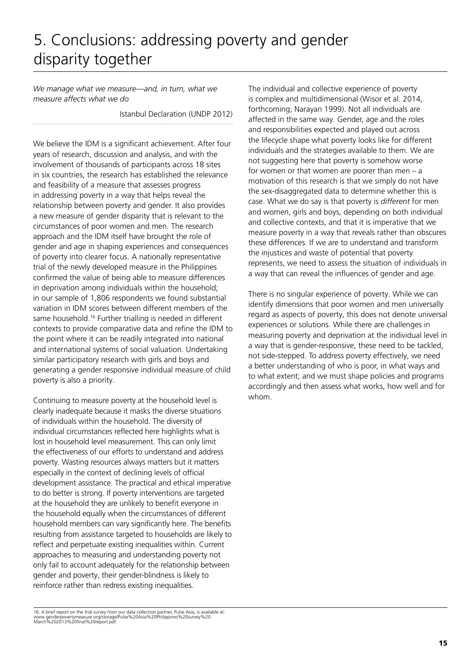# 5. Conclusions: addressing poverty and gender disparity together

*We manage what we measure—and, in turn, what we measure affects what we do*

Istanbul Declaration (UNDP 2012)

We believe the IDM is a significant achievement. After four years of research, discussion and analysis, and with the involvement of thousands of participants across 18 sites in six countries, the research has established the relevance and feasibility of a measure that assesses progress in addressing poverty in a way that helps reveal the relationship between poverty and gender. It also provides a new measure of gender disparity that is relevant to the circumstances of poor women and men. The research approach and the IDM itself have brought the role of gender and age in shaping experiences and consequences of poverty into clearer focus. A nationally representative trial of the newly developed measure in the Philippines confirmed the value of being able to measure differences in deprivation among individuals within the household; in our sample of 1,806 respondents we found substantial variation in IDM scores between different members of the same household.<sup>16</sup> Further trialling is needed in different contexts to provide comparative data and refine the IDM to the point where it can be readily integrated into national and international systems of social valuation. Undertaking similar participatory research with girls and boys and generating a gender responsive individual measure of child poverty is also a priority.

Continuing to measure poverty at the household level is clearly inadequate because it masks the diverse situations of individuals within the household. The diversity of individual circumstances reflected here highlights what is lost in household level measurement. This can only limit the effectiveness of our efforts to understand and address poverty. Wasting resources always matters but it matters especially in the context of declining levels of official development assistance. The practical and ethical imperative to do better is strong. If poverty interventions are targeted at the household they are unlikely to benefit everyone in the household equally when the circumstances of different household members can vary significantly here. The benefits resulting from assistance targeted to households are likely to reflect and perpetuate existing inequalities within. Current approaches to measuring and understanding poverty not only fail to account adequately for the relationship between gender and poverty, their gender-blindness is likely to reinforce rather than redress existing inequalities.

The individual and collective experience of poverty is complex and multidimensional (Wisor et al. 2014, forthcoming; Narayan 1999). Not all individuals are affected in the same way. Gender, age and the roles and responsibilities expected and played out across the lifecycle shape what poverty looks like for different individuals and the strategies available to them. We are not suggesting here that poverty is somehow worse for women or that women are poorer than men – a motivation of this research is that we simply do not have the sex-disaggregated data to determine whether this is case. What we do say is that poverty is *different* for men and women, girls and boys, depending on both individual and collective contexts, and that it is imperative that we measure poverty in a way that reveals rather than obscures these differences. If we are to understand and transform the injustices and waste of potential that poverty represents, we need to assess the situation of individuals in a way that can reveal the influences of gender and age.

There is no singular experience of poverty. While we can identify dimensions that poor women and men universally regard as aspects of poverty, this does not denote universal experiences or solutions. While there are challenges in measuring poverty and deprivation at the individual level in a way that is gender-responsive, these need to be tackled, not side-stepped. To address poverty effectively, we need a better understanding of who is poor, in what ways and to what extent; and we must shape policies and programs accordingly and then assess what works, how well and for whom.

<sup>16.</sup> A brief report on the trial survey from our data collection partner, Pulse Asia, is available at: www.genderpovertymeasure.org/storage/Pulse%20Asia%20Philippines%20survey%20 March%202013%20final%20report.pdf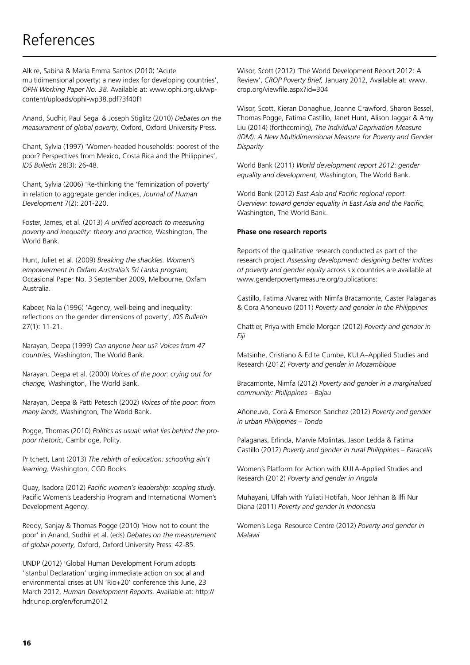# References

Alkire, Sabina & Maria Emma Santos (2010) 'Acute multidimensional poverty: a new index for developing countries', *OPHI Working Paper No. 38.* Available at: www.ophi.org.uk/wpcontent/uploads/ophi-wp38.pdf?3f40f1

Anand, Sudhir, Paul Segal & Joseph Stiglitz (2010) *Debates on the measurement of global poverty,* Oxford, Oxford University Press.

Chant, Sylvia (1997) 'Women-headed households: poorest of the poor? Perspectives from Mexico, Costa Rica and the Philippines', *IDS Bulletin* 28(3): 26-48.

Chant, Sylvia (2006) 'Re-thinking the 'feminization of poverty' in relation to aggregate gender indices, *Journal of Human Development* 7(2): 201-220.

Foster, James, et al. (2013) *A unified approach to measuring poverty and inequality: theory and practice,* Washington, The World Bank.

Hunt, Juliet et al. (2009) *Breaking the shackles. Women's empowerment in Oxfam Australia's Sri Lanka program,* Occasional Paper No. 3 September 2009, Melbourne, Oxfam Australia.

Kabeer, Naila (1996) 'Agency, well-being and inequality: reflections on the gender dimensions of poverty', *IDS Bulletin* 27(1): 11-21.

Narayan, Deepa (1999) *Can anyone hear us? Voices from 47 countries,* Washington, The World Bank.

Narayan, Deepa et al. (2000) *Voices of the poor: crying out for change,* Washington, The World Bank.

Narayan, Deepa & Patti Petesch (2002) *Voices of the poor: from many lands,* Washington, The World Bank.

Pogge, Thomas (2010) *Politics as usual: what lies behind the propoor rhetoric,* Cambridge, Polity.

Pritchett, Lant (2013) *The rebirth of education: schooling ain't learning,* Washington, CGD Books.

Quay, Isadora (2012) *Pacific women's leadership: scoping study.* Pacific Women's Leadership Program and International Women's Development Agency.

Reddy, Sanjay & Thomas Pogge (2010) 'How not to count the poor' in Anand, Sudhir et al. (eds) *Debates on the measurement of global poverty,* Oxford, Oxford University Press: 42-85.

UNDP (2012) 'Global Human Development Forum adopts 'Istanbul Declaration' urging immediate action on social and environmental crises at UN 'Rio+20' conference this June, 23 March 2012, *Human Development Reports.* Available at: http:// hdr.undp.org/en/forum2012

Wisor, Scott (2012) 'The World Development Report 2012: A Review', *CROP Poverty Brief,* January 2012, Available at: www. crop.org/viewfile.aspx?id=304

Wisor, Scott, Kieran Donaghue, Joanne Crawford, Sharon Bessel, Thomas Pogge, Fatima Castillo, Janet Hunt, Alison Jaggar & Amy Liu (2014) (forthcoming), *The Individual Deprivation Measure (IDM): A New Multidimensional Measure for Poverty and Gender Disparity*

World Bank (2011) *World development report 2012: gender equality and development,* Washington, The World Bank.

World Bank (2012) *East Asia and Pacific regional report. Overview: toward gender equality in East Asia and the Pacific,* Washington, The World Bank.

#### **Phase one research reports**

Reports of the qualitative research conducted as part of the research project *Assessing development: designing better indices of poverty and gender equity* across six countries are available at www.genderpovertymeasure.org/publications:

Castillo, Fatima Alvarez with Nimfa Bracamonte, Caster Palaganas & Cora Añoneuvo (2011) *Poverty and gender in the Philippines*

Chattier, Priya with Emele Morgan (2012) *Poverty and gender in Fiji* 

Matsinhe, Cristiano & Edite Cumbe, KULA–Applied Studies and Research (2012) *Poverty and gender in Mozambique*

Bracamonte, Nimfa (2012) *Poverty and gender in a marginalised community: Philippines – Bajau*

Añoneuvo, Cora & Emerson Sanchez (2012) *Poverty and gender in urban Philippines – Tondo*

Palaganas, Erlinda, Marvie Molintas, Jason Ledda & Fatima Castillo (2012) *Poverty and gender in rural Philippines – Paracelis*

Women's Platform for Action with KULA-Applied Studies and Research (2012) *Poverty and gender in Angola*

Muhayani, Ulfah with Yuliati Hotifah, Noor Jehhan & Ilfi Nur Diana (2011) *Poverty and gender in Indonesia*

Women's Legal Resource Centre (2012) *Poverty and gender in Malawi*